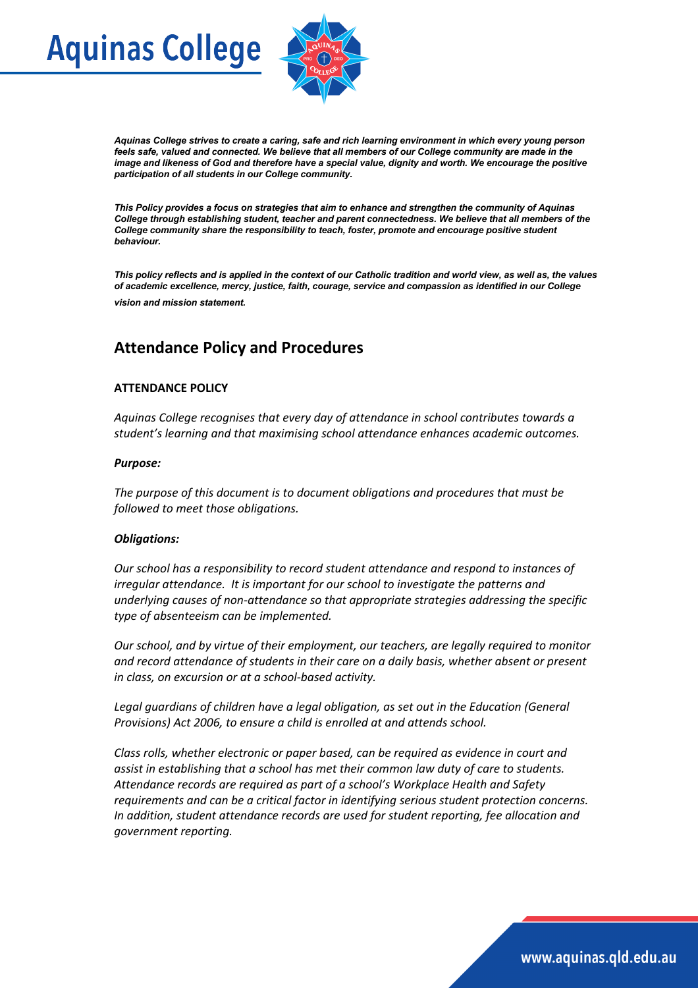# **Aquinas College**



*Aquinas College strives to create a caring, safe and rich learning environment in which every young person feels safe, valued and connected. We believe that all members of our College community are made in the*  image and likeness of God and therefore have a special value, dignity and worth. We encourage the positive *participation of all students in our College community.*

*This Policy provides a focus on strategies that aim to enhance and strengthen the community of Aquinas College through establishing student, teacher and parent connectedness. We believe that all members of the College community share the responsibility to teach, foster, promote and encourage positive student behaviour.*

*This policy reflects and is applied in the context of our Catholic tradition and world view, as well as, the values of academic excellence, mercy, justice, faith, courage, service and compassion as identified in our College vision and mission statement.*

### **Attendance Policy and Procedures**

#### **ATTENDANCE POLICY**

*Aquinas College recognises that every day of attendance in school contributes towards a student's learning and that maximising school attendance enhances academic outcomes.* 

#### *Purpose:*

*The purpose of this document is to document obligations and procedures that must be followed to meet those obligations.* 

#### *Obligations:*

*Our school has a responsibility to record student attendance and respond to instances of irregular attendance. It is important for our school to investigate the patterns and underlying causes of non-attendance so that appropriate strategies addressing the specific type of absenteeism can be implemented.* 

*Our school, and by virtue of their employment, our teachers, are legally required to monitor and record attendance of students in their care on a daily basis, whether absent or present in class, on excursion or at a school-based activity.* 

*Legal guardians of children have a legal obligation, as set out in the Education (General Provisions) Act 2006, to ensure a child is enrolled at and attends school.* 

*Class rolls, whether electronic or paper based, can be required as evidence in court and assist in establishing that a school has met their common law duty of care to students. Attendance records are required as part of a school's Workplace Health and Safety requirements and can be a critical factor in identifying serious student protection concerns. In addition, student attendance records are used for student reporting, fee allocation and government reporting.*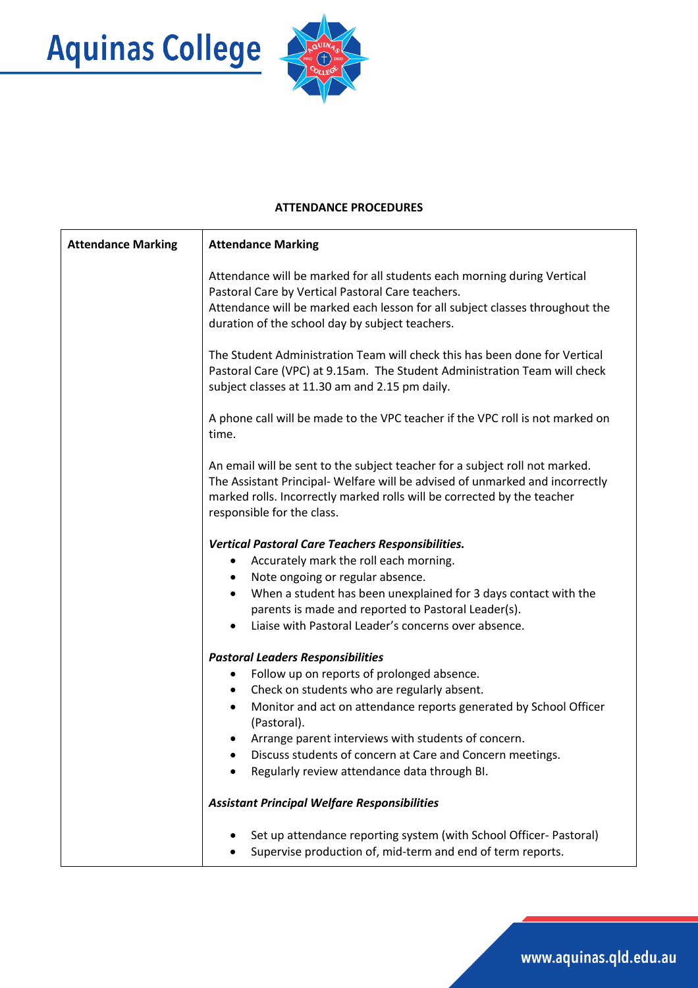



#### **ATTENDANCE PROCEDURES**

| <b>Attendance Marking</b> | <b>Attendance Marking</b>                                                                                                                                                                                                                                            |
|---------------------------|----------------------------------------------------------------------------------------------------------------------------------------------------------------------------------------------------------------------------------------------------------------------|
|                           | Attendance will be marked for all students each morning during Vertical<br>Pastoral Care by Vertical Pastoral Care teachers.<br>Attendance will be marked each lesson for all subject classes throughout the<br>duration of the school day by subject teachers.      |
|                           | The Student Administration Team will check this has been done for Vertical<br>Pastoral Care (VPC) at 9.15am. The Student Administration Team will check<br>subject classes at 11.30 am and 2.15 pm daily.                                                            |
|                           | A phone call will be made to the VPC teacher if the VPC roll is not marked on<br>time.                                                                                                                                                                               |
|                           | An email will be sent to the subject teacher for a subject roll not marked.<br>The Assistant Principal- Welfare will be advised of unmarked and incorrectly<br>marked rolls. Incorrectly marked rolls will be corrected by the teacher<br>responsible for the class. |
|                           | <b>Vertical Pastoral Care Teachers Responsibilities.</b>                                                                                                                                                                                                             |
|                           | Accurately mark the roll each morning.<br>٠                                                                                                                                                                                                                          |
|                           | Note ongoing or regular absence.<br>٠                                                                                                                                                                                                                                |
|                           | When a student has been unexplained for 3 days contact with the<br>٠                                                                                                                                                                                                 |
|                           | parents is made and reported to Pastoral Leader(s).                                                                                                                                                                                                                  |
|                           | Liaise with Pastoral Leader's concerns over absence.<br>$\bullet$                                                                                                                                                                                                    |
|                           | <b>Pastoral Leaders Responsibilities</b>                                                                                                                                                                                                                             |
|                           | Follow up on reports of prolonged absence.<br>٠                                                                                                                                                                                                                      |
|                           | Check on students who are regularly absent.<br>٠                                                                                                                                                                                                                     |
|                           | Monitor and act on attendance reports generated by School Officer<br>٠<br>(Pastoral).                                                                                                                                                                                |
|                           | Arrange parent interviews with students of concern.                                                                                                                                                                                                                  |
|                           | Discuss students of concern at Care and Concern meetings.<br>٠                                                                                                                                                                                                       |
|                           | Regularly review attendance data through BI.                                                                                                                                                                                                                         |
|                           | <b>Assistant Principal Welfare Responsibilities</b>                                                                                                                                                                                                                  |
|                           | Set up attendance reporting system (with School Officer- Pastoral)<br>٠                                                                                                                                                                                              |
|                           | Supervise production of, mid-term and end of term reports.                                                                                                                                                                                                           |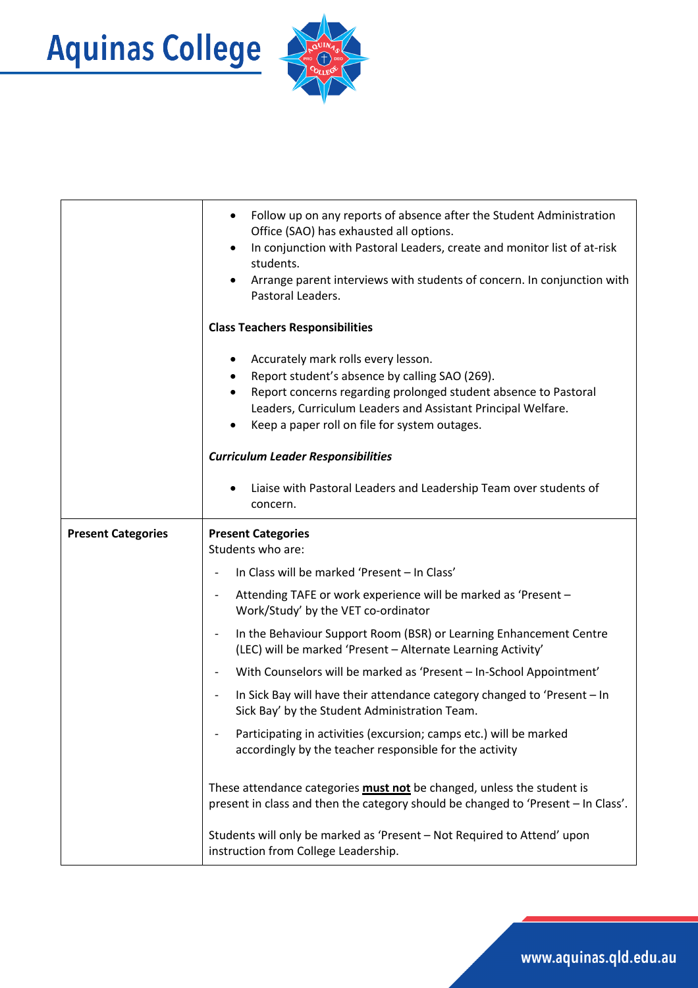



|                           | Follow up on any reports of absence after the Student Administration<br>$\bullet$<br>Office (SAO) has exhausted all options.<br>In conjunction with Pastoral Leaders, create and monitor list of at-risk<br>students.<br>Arrange parent interviews with students of concern. In conjunction with<br>Pastoral Leaders. |
|---------------------------|-----------------------------------------------------------------------------------------------------------------------------------------------------------------------------------------------------------------------------------------------------------------------------------------------------------------------|
|                           | <b>Class Teachers Responsibilities</b>                                                                                                                                                                                                                                                                                |
|                           | Accurately mark rolls every lesson.<br>٠<br>Report student's absence by calling SAO (269).<br>Report concerns regarding prolonged student absence to Pastoral<br>Leaders, Curriculum Leaders and Assistant Principal Welfare.<br>Keep a paper roll on file for system outages.                                        |
|                           | <b>Curriculum Leader Responsibilities</b>                                                                                                                                                                                                                                                                             |
|                           | Liaise with Pastoral Leaders and Leadership Team over students of<br>concern.                                                                                                                                                                                                                                         |
| <b>Present Categories</b> | <b>Present Categories</b><br>Students who are:                                                                                                                                                                                                                                                                        |
|                           | In Class will be marked 'Present - In Class'                                                                                                                                                                                                                                                                          |
|                           | Attending TAFE or work experience will be marked as 'Present -<br>$\overline{\phantom{a}}$<br>Work/Study' by the VET co-ordinator                                                                                                                                                                                     |
|                           | In the Behaviour Support Room (BSR) or Learning Enhancement Centre<br>$\qquad \qquad \blacksquare$<br>(LEC) will be marked 'Present - Alternate Learning Activity'                                                                                                                                                    |
|                           | With Counselors will be marked as 'Present - In-School Appointment'<br>$\overline{\phantom{a}}$                                                                                                                                                                                                                       |
|                           | In Sick Bay will have their attendance category changed to 'Present - In<br>$\overline{\phantom{0}}$<br>Sick Bay' by the Student Administration Team.                                                                                                                                                                 |
|                           | Participating in activities (excursion; camps etc.) will be marked<br>accordingly by the teacher responsible for the activity                                                                                                                                                                                         |
|                           | These attendance categories <b>must not</b> be changed, unless the student is<br>present in class and then the category should be changed to 'Present - In Class'.                                                                                                                                                    |
|                           | Students will only be marked as 'Present - Not Required to Attend' upon<br>instruction from College Leadership.                                                                                                                                                                                                       |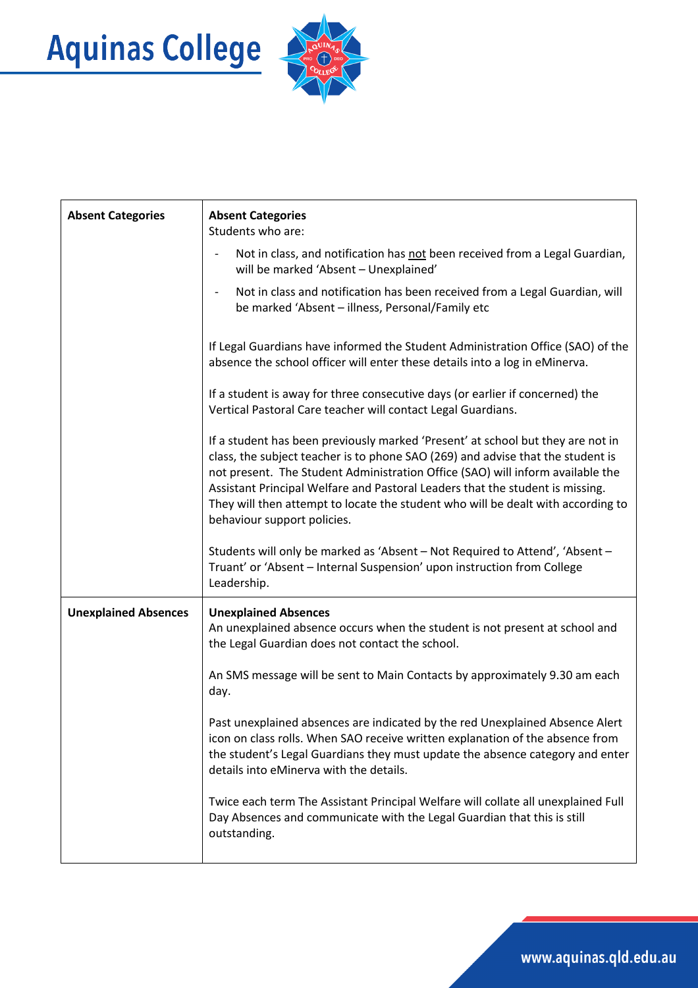



| <b>Absent Categories</b>    | <b>Absent Categories</b><br>Students who are:                                                                                                                                                                                                                                                                                                                                                                                                            |
|-----------------------------|----------------------------------------------------------------------------------------------------------------------------------------------------------------------------------------------------------------------------------------------------------------------------------------------------------------------------------------------------------------------------------------------------------------------------------------------------------|
|                             | Not in class, and notification has not been received from a Legal Guardian,<br>will be marked 'Absent - Unexplained'                                                                                                                                                                                                                                                                                                                                     |
|                             | Not in class and notification has been received from a Legal Guardian, will<br>$\overline{\phantom{a}}$<br>be marked 'Absent - illness, Personal/Family etc                                                                                                                                                                                                                                                                                              |
|                             | If Legal Guardians have informed the Student Administration Office (SAO) of the<br>absence the school officer will enter these details into a log in eMinerva.                                                                                                                                                                                                                                                                                           |
|                             | If a student is away for three consecutive days (or earlier if concerned) the<br>Vertical Pastoral Care teacher will contact Legal Guardians.                                                                                                                                                                                                                                                                                                            |
|                             | If a student has been previously marked 'Present' at school but they are not in<br>class, the subject teacher is to phone SAO (269) and advise that the student is<br>not present. The Student Administration Office (SAO) will inform available the<br>Assistant Principal Welfare and Pastoral Leaders that the student is missing.<br>They will then attempt to locate the student who will be dealt with according to<br>behaviour support policies. |
|                             | Students will only be marked as 'Absent - Not Required to Attend', 'Absent -<br>Truant' or 'Absent - Internal Suspension' upon instruction from College<br>Leadership.                                                                                                                                                                                                                                                                                   |
| <b>Unexplained Absences</b> | <b>Unexplained Absences</b><br>An unexplained absence occurs when the student is not present at school and<br>the Legal Guardian does not contact the school.                                                                                                                                                                                                                                                                                            |
|                             | An SMS message will be sent to Main Contacts by approximately 9.30 am each<br>day.                                                                                                                                                                                                                                                                                                                                                                       |
|                             | Past unexplained absences are indicated by the red Unexplained Absence Alert<br>icon on class rolls. When SAO receive written explanation of the absence from<br>the student's Legal Guardians they must update the absence category and enter<br>details into eMinerva with the details.                                                                                                                                                                |
|                             | Twice each term The Assistant Principal Welfare will collate all unexplained Full<br>Day Absences and communicate with the Legal Guardian that this is still<br>outstanding.                                                                                                                                                                                                                                                                             |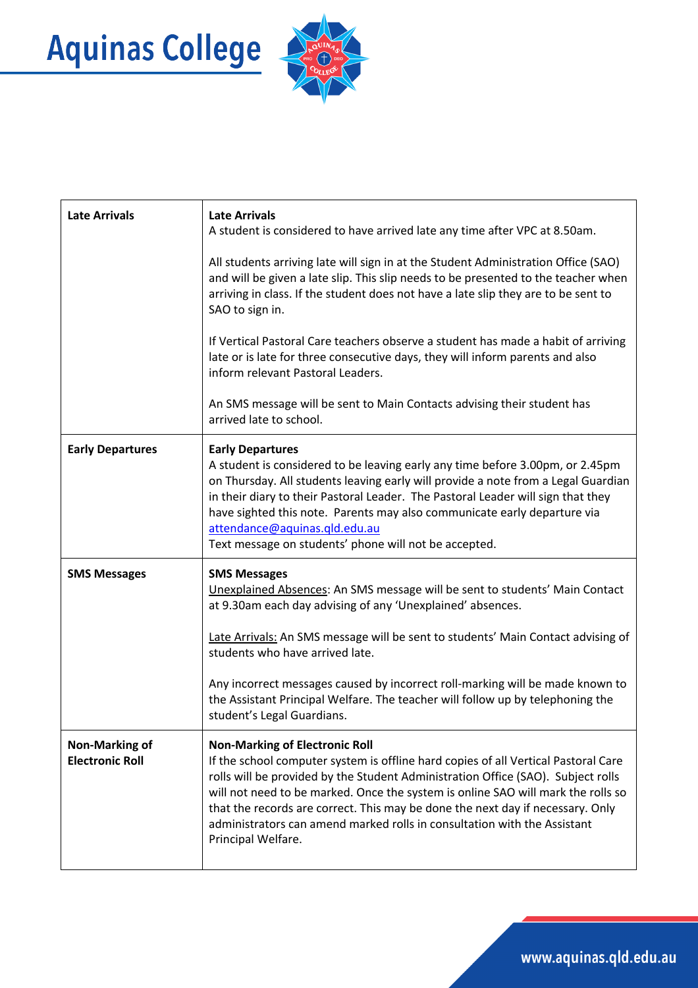



| <b>Late Arrivals</b>                            | <b>Late Arrivals</b><br>A student is considered to have arrived late any time after VPC at 8.50am.                                                                                                                                                                                                                                                                                                                                                      |
|-------------------------------------------------|---------------------------------------------------------------------------------------------------------------------------------------------------------------------------------------------------------------------------------------------------------------------------------------------------------------------------------------------------------------------------------------------------------------------------------------------------------|
|                                                 | All students arriving late will sign in at the Student Administration Office (SAO)<br>and will be given a late slip. This slip needs to be presented to the teacher when<br>arriving in class. If the student does not have a late slip they are to be sent to<br>SAO to sign in.                                                                                                                                                                       |
|                                                 | If Vertical Pastoral Care teachers observe a student has made a habit of arriving<br>late or is late for three consecutive days, they will inform parents and also<br>inform relevant Pastoral Leaders.                                                                                                                                                                                                                                                 |
|                                                 | An SMS message will be sent to Main Contacts advising their student has<br>arrived late to school.                                                                                                                                                                                                                                                                                                                                                      |
| <b>Early Departures</b>                         | <b>Early Departures</b><br>A student is considered to be leaving early any time before 3.00pm, or 2.45pm<br>on Thursday. All students leaving early will provide a note from a Legal Guardian<br>in their diary to their Pastoral Leader. The Pastoral Leader will sign that they<br>have sighted this note. Parents may also communicate early departure via<br>attendance@aquinas.qld.edu.au<br>Text message on students' phone will not be accepted. |
| <b>SMS Messages</b>                             | <b>SMS Messages</b><br>Unexplained Absences: An SMS message will be sent to students' Main Contact<br>at 9.30am each day advising of any 'Unexplained' absences.                                                                                                                                                                                                                                                                                        |
|                                                 | Late Arrivals: An SMS message will be sent to students' Main Contact advising of<br>students who have arrived late.                                                                                                                                                                                                                                                                                                                                     |
|                                                 | Any incorrect messages caused by incorrect roll-marking will be made known to<br>the Assistant Principal Welfare. The teacher will follow up by telephoning the<br>student's Legal Guardians.                                                                                                                                                                                                                                                           |
| <b>Non-Marking of</b><br><b>Electronic Roll</b> | <b>Non-Marking of Electronic Roll</b>                                                                                                                                                                                                                                                                                                                                                                                                                   |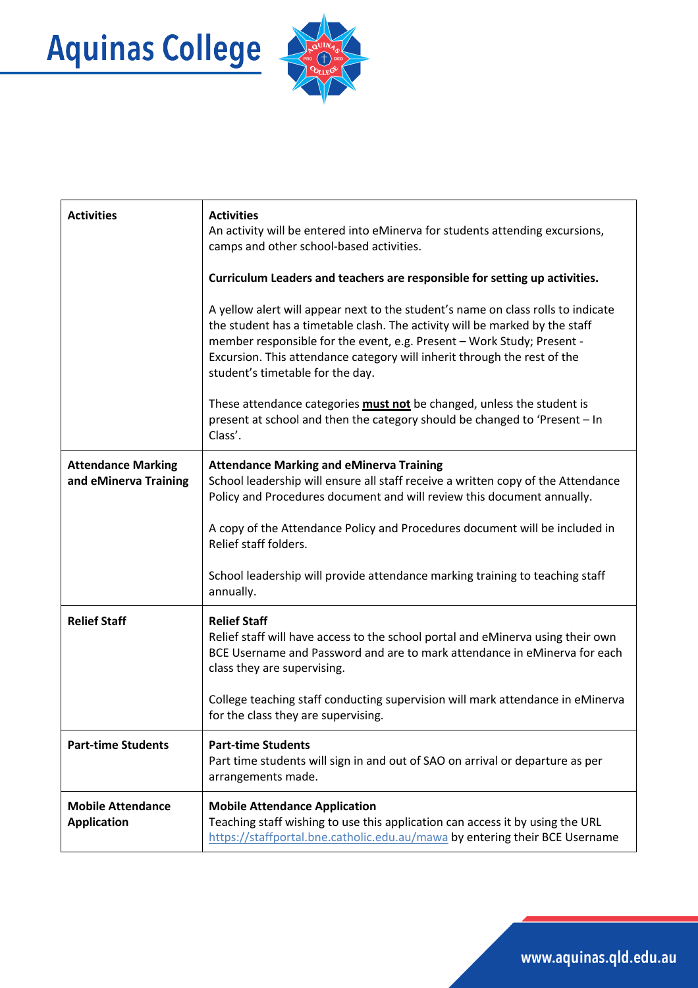



| <b>Activities</b>                                  | <b>Activities</b><br>An activity will be entered into eMinerva for students attending excursions,<br>camps and other school-based activities.                                                                                                                                                                                                             |
|----------------------------------------------------|-----------------------------------------------------------------------------------------------------------------------------------------------------------------------------------------------------------------------------------------------------------------------------------------------------------------------------------------------------------|
|                                                    | Curriculum Leaders and teachers are responsible for setting up activities.                                                                                                                                                                                                                                                                                |
|                                                    | A yellow alert will appear next to the student's name on class rolls to indicate<br>the student has a timetable clash. The activity will be marked by the staff<br>member responsible for the event, e.g. Present - Work Study; Present -<br>Excursion. This attendance category will inherit through the rest of the<br>student's timetable for the day. |
|                                                    | These attendance categories <b>must not</b> be changed, unless the student is<br>present at school and then the category should be changed to 'Present - In<br>Class'.                                                                                                                                                                                    |
| <b>Attendance Marking</b><br>and eMinerva Training | <b>Attendance Marking and eMinerva Training</b><br>School leadership will ensure all staff receive a written copy of the Attendance<br>Policy and Procedures document and will review this document annually.                                                                                                                                             |
|                                                    | A copy of the Attendance Policy and Procedures document will be included in<br>Relief staff folders.                                                                                                                                                                                                                                                      |
|                                                    | School leadership will provide attendance marking training to teaching staff<br>annually.                                                                                                                                                                                                                                                                 |
| <b>Relief Staff</b>                                | <b>Relief Staff</b><br>Relief staff will have access to the school portal and eMinerva using their own<br>BCE Username and Password and are to mark attendance in eMinerva for each<br>class they are supervising.                                                                                                                                        |
|                                                    | College teaching staff conducting supervision will mark attendance in eMinerva<br>for the class they are supervising.                                                                                                                                                                                                                                     |
| <b>Part-time Students</b>                          | <b>Part-time Students</b><br>Part time students will sign in and out of SAO on arrival or departure as per<br>arrangements made.                                                                                                                                                                                                                          |
| <b>Mobile Attendance</b><br><b>Application</b>     | <b>Mobile Attendance Application</b><br>Teaching staff wishing to use this application can access it by using the URL<br>https://staffportal.bne.catholic.edu.au/mawa by entering their BCE Username                                                                                                                                                      |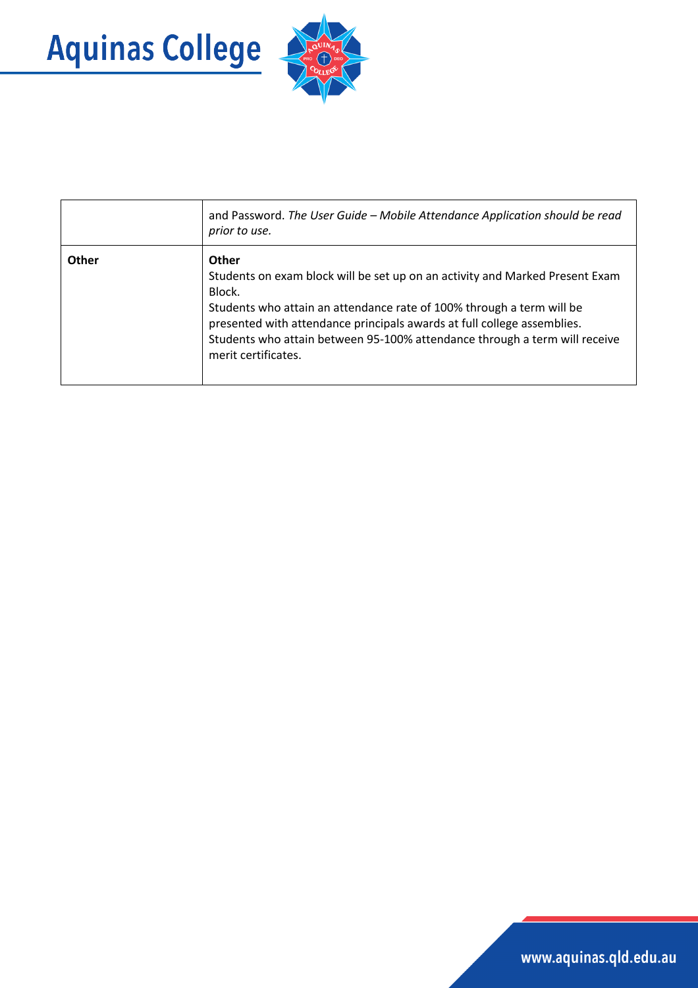



|       | and Password. The User Guide - Mobile Attendance Application should be read<br>prior to use.                                                                                                                                                                                                                                                             |
|-------|----------------------------------------------------------------------------------------------------------------------------------------------------------------------------------------------------------------------------------------------------------------------------------------------------------------------------------------------------------|
| Other | Other<br>Students on exam block will be set up on an activity and Marked Present Exam<br>Block.<br>Students who attain an attendance rate of 100% through a term will be<br>presented with attendance principals awards at full college assemblies.<br>Students who attain between 95-100% attendance through a term will receive<br>merit certificates. |